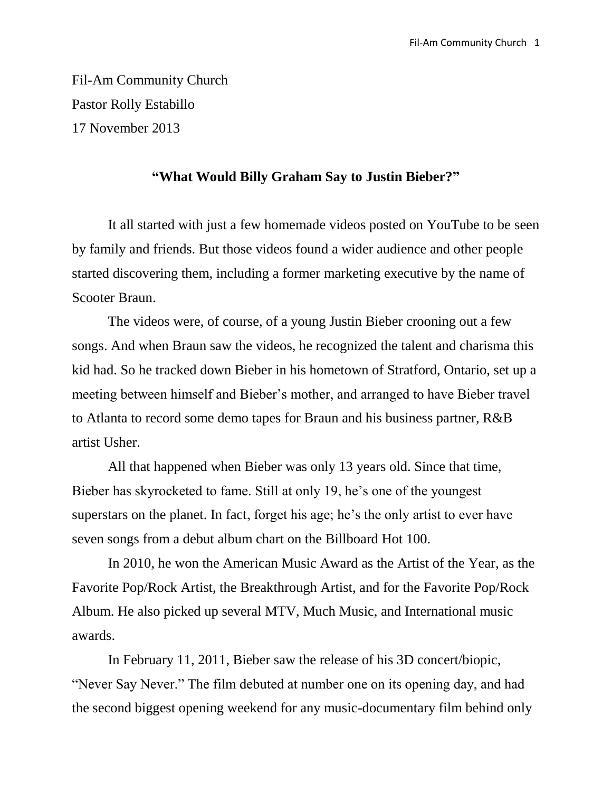Fil-Am Community Church Pastor Rolly Estabillo 17 November 2013

## **"What Would Billy Graham Say to Justin Bieber?"**

It all started with just a few homemade videos posted on YouTube to be seen by family and friends. But those videos found a wider audience and other people started discovering them, including a former marketing executive by the name of Scooter Braun.

The videos were, of course, of a young Justin Bieber crooning out a few songs. And when Braun saw the videos, he recognized the talent and charisma this kid had. So he tracked down Bieber in his hometown of Stratford, Ontario, set up a meeting between himself and Bieber's mother, and arranged to have Bieber travel to Atlanta to record some demo tapes for Braun and his business partner, R&B artist Usher.

All that happened when Bieber was only 13 years old. Since that time, Bieber has skyrocketed to fame. Still at only 19, he's one of the youngest superstars on the planet. In fact, forget his age; he's the only artist to ever have seven songs from a debut album chart on the Billboard Hot 100.

In 2010, he won the American Music Award as the Artist of the Year, as the Favorite Pop/Rock Artist, the Breakthrough Artist, and for the Favorite Pop/Rock Album. He also picked up several MTV, Much Music, and International music awards.

In February 11, 2011, Bieber saw the release of his 3D concert/biopic, "Never Say Never." The film debuted at number one on its opening day, and had the second biggest opening weekend for any music-documentary film behind only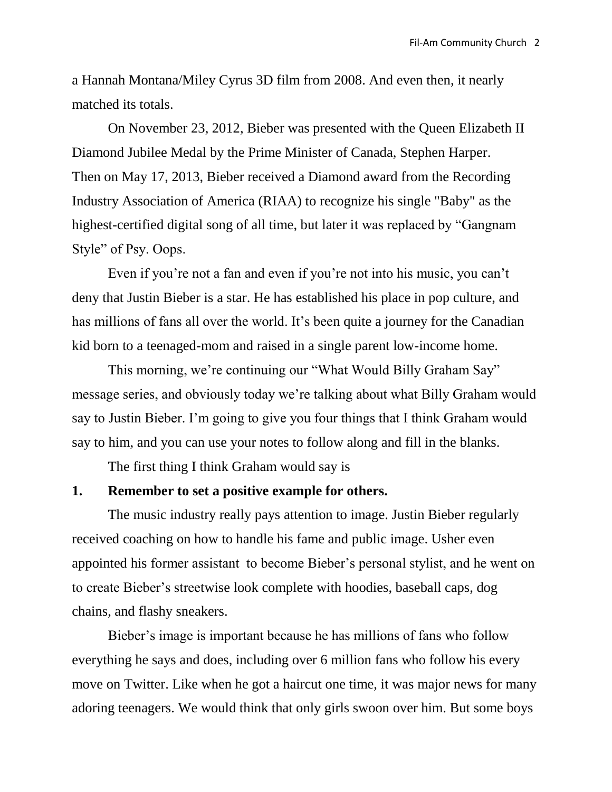a Hannah Montana/Miley Cyrus 3D film from 2008. And even then, it nearly matched its totals.

On November 23, 2012, Bieber was presented with the Queen Elizabeth II Diamond Jubilee Medal by the Prime Minister of Canada, Stephen Harper. Then on May 17, 2013, Bieber received a Diamond award from the Recording Industry Association of America (RIAA) to recognize his single "Baby" as the highest-certified digital song of all time, but later it was replaced by "Gangnam Style" of Psy. Oops.

Even if you're not a fan and even if you're not into his music, you can't deny that Justin Bieber is a star. He has established his place in pop culture, and has millions of fans all over the world. It's been quite a journey for the Canadian kid born to a teenaged-mom and raised in a single parent low-income home.

This morning, we're continuing our "What Would Billy Graham Say" message series, and obviously today we're talking about what Billy Graham would say to Justin Bieber. I'm going to give you four things that I think Graham would say to him, and you can use your notes to follow along and fill in the blanks.

The first thing I think Graham would say is

# **1. Remember to set a positive example for others.**

The music industry really pays attention to image. Justin Bieber regularly received coaching on how to handle his fame and public image. Usher even appointed his former assistant to become Bieber's personal stylist, and he went on to create Bieber's streetwise look complete with hoodies, baseball caps, dog chains, and flashy sneakers.

Bieber's image is important because he has millions of fans who follow everything he says and does, including over 6 million fans who follow his every move on Twitter. Like when he got a haircut one time, it was major news for many adoring teenagers. We would think that only girls swoon over him. But some boys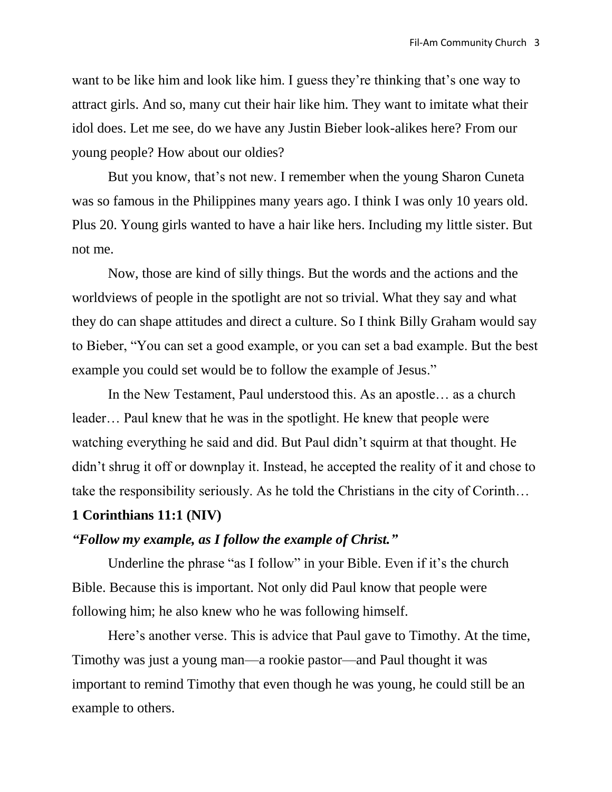want to be like him and look like him. I guess they're thinking that's one way to attract girls. And so, many cut their hair like him. They want to imitate what their idol does. Let me see, do we have any Justin Bieber look-alikes here? From our young people? How about our oldies?

But you know, that's not new. I remember when the young Sharon Cuneta was so famous in the Philippines many years ago. I think I was only 10 years old. Plus 20. Young girls wanted to have a hair like hers. Including my little sister. But not me.

Now, those are kind of silly things. But the words and the actions and the worldviews of people in the spotlight are not so trivial. What they say and what they do can shape attitudes and direct a culture. So I think Billy Graham would say to Bieber, "You can set a good example, or you can set a bad example. But the best example you could set would be to follow the example of Jesus."

In the New Testament, Paul understood this. As an apostle… as a church leader… Paul knew that he was in the spotlight. He knew that people were watching everything he said and did. But Paul didn't squirm at that thought. He didn't shrug it off or downplay it. Instead, he accepted the reality of it and chose to take the responsibility seriously. As he told the Christians in the city of Corinth…

#### **1 Corinthians 11:1 (NIV)**

#### *"Follow my example, as I follow the example of Christ."*

Underline the phrase "as I follow" in your Bible. Even if it's the church Bible. Because this is important. Not only did Paul know that people were following him; he also knew who he was following himself.

Here's another verse. This is advice that Paul gave to Timothy. At the time, Timothy was just a young man—a rookie pastor—and Paul thought it was important to remind Timothy that even though he was young, he could still be an example to others.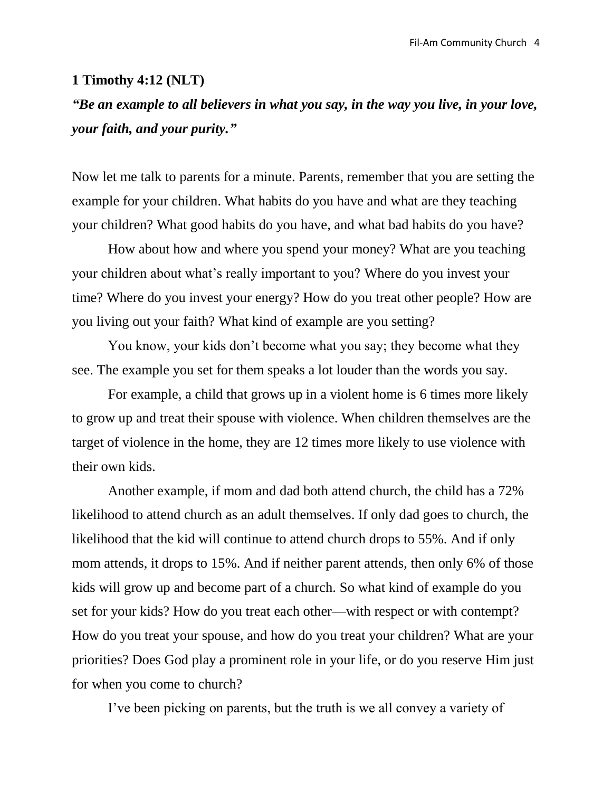#### **1 Timothy 4:12 (NLT)**

# *"Be an example to all believers in what you say, in the way you live, in your love, your faith, and your purity."*

Now let me talk to parents for a minute. Parents, remember that you are setting the example for your children. What habits do you have and what are they teaching your children? What good habits do you have, and what bad habits do you have?

How about how and where you spend your money? What are you teaching your children about what's really important to you? Where do you invest your time? Where do you invest your energy? How do you treat other people? How are you living out your faith? What kind of example are you setting?

You know, your kids don't become what you say; they become what they see. The example you set for them speaks a lot louder than the words you say.

For example, a child that grows up in a violent home is 6 times more likely to grow up and treat their spouse with violence. When children themselves are the target of violence in the home, they are 12 times more likely to use violence with their own kids.

Another example, if mom and dad both attend church, the child has a 72% likelihood to attend church as an adult themselves. If only dad goes to church, the likelihood that the kid will continue to attend church drops to 55%. And if only mom attends, it drops to 15%. And if neither parent attends, then only 6% of those kids will grow up and become part of a church. So what kind of example do you set for your kids? How do you treat each other—with respect or with contempt? How do you treat your spouse, and how do you treat your children? What are your priorities? Does God play a prominent role in your life, or do you reserve Him just for when you come to church?

I've been picking on parents, but the truth is we all convey a variety of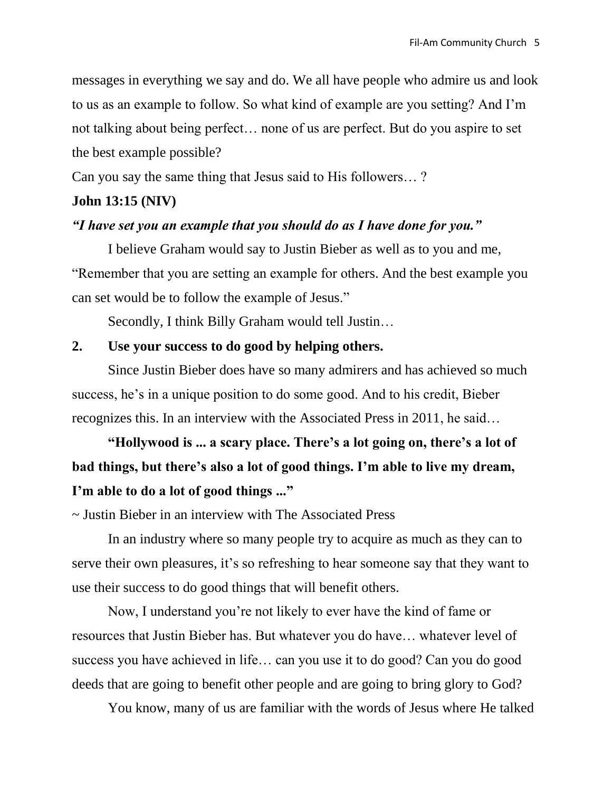messages in everything we say and do. We all have people who admire us and look to us as an example to follow. So what kind of example are you setting? And I'm not talking about being perfect… none of us are perfect. But do you aspire to set the best example possible?

Can you say the same thing that Jesus said to His followers… ?

# **John 13:15 (NIV)**

# *"I have set you an example that you should do as I have done for you."*

I believe Graham would say to Justin Bieber as well as to you and me, "Remember that you are setting an example for others. And the best example you can set would be to follow the example of Jesus."

Secondly, I think Billy Graham would tell Justin…

# **2. Use your success to do good by helping others.**

Since Justin Bieber does have so many admirers and has achieved so much success, he's in a unique position to do some good. And to his credit, Bieber recognizes this. In an interview with the Associated Press in 2011, he said…

# **"Hollywood is ... a scary place. There's a lot going on, there's a lot of bad things, but there's also a lot of good things. I'm able to live my dream, I'm able to do a lot of good things ..."**

~ Justin Bieber in an interview with The Associated Press

In an industry where so many people try to acquire as much as they can to serve their own pleasures, it's so refreshing to hear someone say that they want to use their success to do good things that will benefit others.

Now, I understand you're not likely to ever have the kind of fame or resources that Justin Bieber has. But whatever you do have… whatever level of success you have achieved in life… can you use it to do good? Can you do good deeds that are going to benefit other people and are going to bring glory to God?

You know, many of us are familiar with the words of Jesus where He talked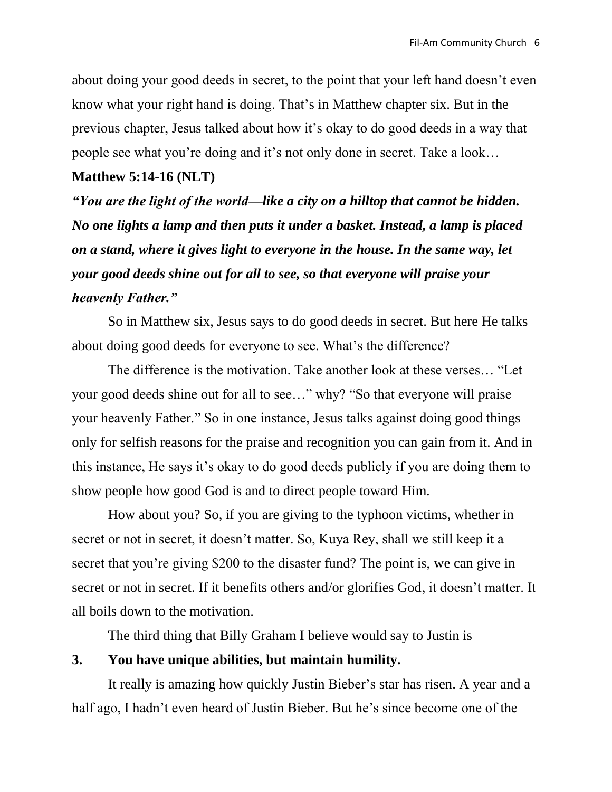about doing your good deeds in secret, to the point that your left hand doesn't even know what your right hand is doing. That's in Matthew chapter six. But in the previous chapter, Jesus talked about how it's okay to do good deeds in a way that people see what you're doing and it's not only done in secret. Take a look…

#### **Matthew 5:14-16 (NLT)**

*"You are the light of the world—like a city on a hilltop that cannot be hidden. No one lights a lamp and then puts it under a basket. Instead, a lamp is placed on a stand, where it gives light to everyone in the house. In the same way, let your good deeds shine out for all to see, so that everyone will praise your heavenly Father."*

So in Matthew six, Jesus says to do good deeds in secret. But here He talks about doing good deeds for everyone to see. What's the difference?

The difference is the motivation. Take another look at these verses… "Let your good deeds shine out for all to see…" why? "So that everyone will praise your heavenly Father." So in one instance, Jesus talks against doing good things only for selfish reasons for the praise and recognition you can gain from it. And in this instance, He says it's okay to do good deeds publicly if you are doing them to show people how good God is and to direct people toward Him.

How about you? So, if you are giving to the typhoon victims, whether in secret or not in secret, it doesn't matter. So, Kuya Rey, shall we still keep it a secret that you're giving \$200 to the disaster fund? The point is, we can give in secret or not in secret. If it benefits others and/or glorifies God, it doesn't matter. It all boils down to the motivation.

The third thing that Billy Graham I believe would say to Justin is

# **3. You have unique abilities, but maintain humility.**

It really is amazing how quickly Justin Bieber's star has risen. A year and a half ago, I hadn't even heard of Justin Bieber. But he's since become one of the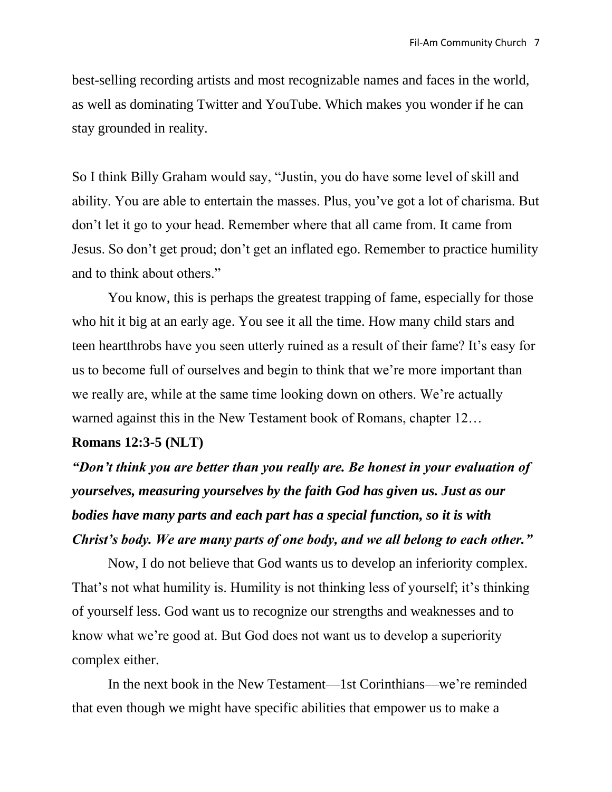best-selling recording artists and most recognizable names and faces in the world, as well as dominating Twitter and YouTube. Which makes you wonder if he can stay grounded in reality.

So I think Billy Graham would say, "Justin, you do have some level of skill and ability. You are able to entertain the masses. Plus, you've got a lot of charisma. But don't let it go to your head. Remember where that all came from. It came from Jesus. So don't get proud; don't get an inflated ego. Remember to practice humility and to think about others."

You know, this is perhaps the greatest trapping of fame, especially for those who hit it big at an early age. You see it all the time. How many child stars and teen heartthrobs have you seen utterly ruined as a result of their fame? It's easy for us to become full of ourselves and begin to think that we're more important than we really are, while at the same time looking down on others. We're actually warned against this in the New Testament book of Romans, chapter 12…

## **Romans 12:3-5 (NLT)**

*"Don't think you are better than you really are. Be honest in your evaluation of yourselves, measuring yourselves by the faith God has given us. Just as our bodies have many parts and each part has a special function, so it is with Christ's body. We are many parts of one body, and we all belong to each other."*

Now, I do not believe that God wants us to develop an inferiority complex. That's not what humility is. Humility is not thinking less of yourself; it's thinking of yourself less. God want us to recognize our strengths and weaknesses and to know what we're good at. But God does not want us to develop a superiority complex either.

In the next book in the New Testament—1st Corinthians—we're reminded that even though we might have specific abilities that empower us to make a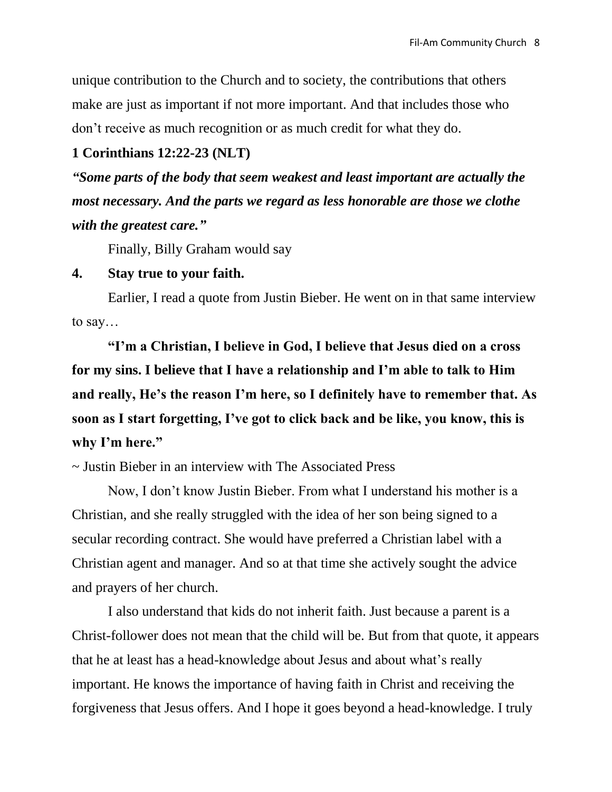unique contribution to the Church and to society, the contributions that others make are just as important if not more important. And that includes those who don't receive as much recognition or as much credit for what they do.

# **1 Corinthians 12:22-23 (NLT)**

*"Some parts of the body that seem weakest and least important are actually the most necessary. And the parts we regard as less honorable are those we clothe with the greatest care."*

Finally, Billy Graham would say

#### **4. Stay true to your faith.**

Earlier, I read a quote from Justin Bieber. He went on in that same interview to say…

**"I'm a Christian, I believe in God, I believe that Jesus died on a cross for my sins. I believe that I have a relationship and I'm able to talk to Him and really, He's the reason I'm here, so I definitely have to remember that. As soon as I start forgetting, I've got to click back and be like, you know, this is why I'm here."**

~ Justin Bieber in an interview with The Associated Press

Now, I don't know Justin Bieber. From what I understand his mother is a Christian, and she really struggled with the idea of her son being signed to a secular recording contract. She would have preferred a Christian label with a Christian agent and manager. And so at that time she actively sought the advice and prayers of her church.

I also understand that kids do not inherit faith. Just because a parent is a Christ-follower does not mean that the child will be. But from that quote, it appears that he at least has a head-knowledge about Jesus and about what's really important. He knows the importance of having faith in Christ and receiving the forgiveness that Jesus offers. And I hope it goes beyond a head-knowledge. I truly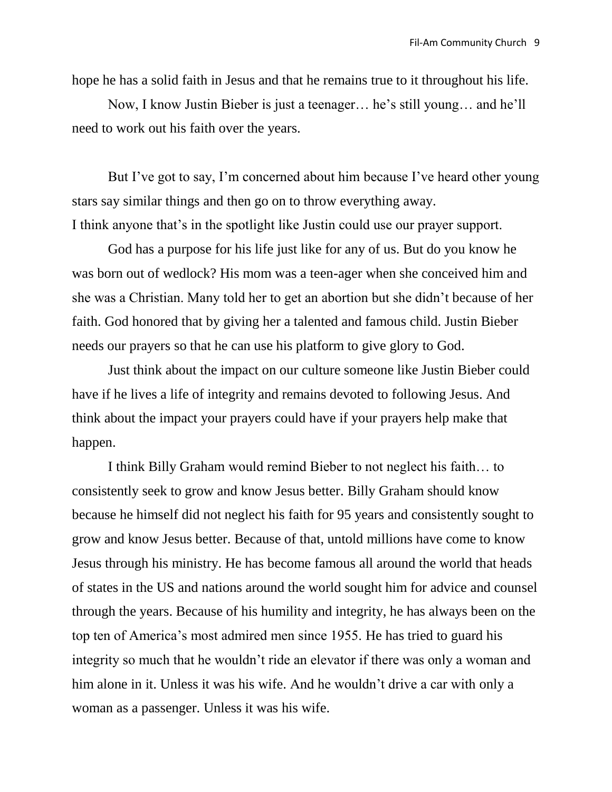hope he has a solid faith in Jesus and that he remains true to it throughout his life.

Now, I know Justin Bieber is just a teenager… he's still young… and he'll need to work out his faith over the years.

But I've got to say, I'm concerned about him because I've heard other young stars say similar things and then go on to throw everything away. I think anyone that's in the spotlight like Justin could use our prayer support.

God has a purpose for his life just like for any of us. But do you know he was born out of wedlock? His mom was a teen-ager when she conceived him and she was a Christian. Many told her to get an abortion but she didn't because of her faith. God honored that by giving her a talented and famous child. Justin Bieber needs our prayers so that he can use his platform to give glory to God.

Just think about the impact on our culture someone like Justin Bieber could have if he lives a life of integrity and remains devoted to following Jesus. And think about the impact your prayers could have if your prayers help make that happen.

I think Billy Graham would remind Bieber to not neglect his faith… to consistently seek to grow and know Jesus better. Billy Graham should know because he himself did not neglect his faith for 95 years and consistently sought to grow and know Jesus better. Because of that, untold millions have come to know Jesus through his ministry. He has become famous all around the world that heads of states in the US and nations around the world sought him for advice and counsel through the years. Because of his humility and integrity, he has always been on the top ten of America's most admired men since 1955. He has tried to guard his integrity so much that he wouldn't ride an elevator if there was only a woman and him alone in it. Unless it was his wife. And he wouldn't drive a car with only a woman as a passenger. Unless it was his wife.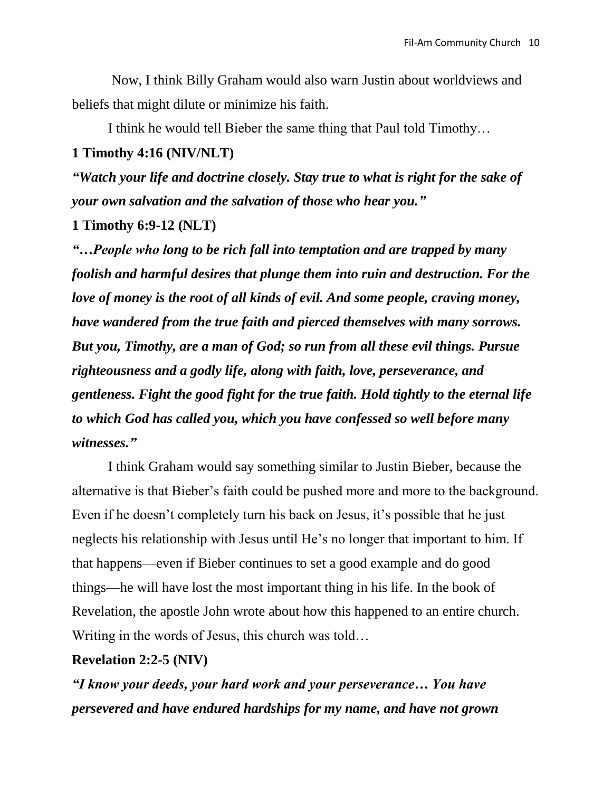Now, I think Billy Graham would also warn Justin about worldviews and beliefs that might dilute or minimize his faith.

I think he would tell Bieber the same thing that Paul told Timothy…

#### **1 Timothy 4:16 (NIV/NLT)**

*"Watch your life and doctrine closely. Stay true to what is right for the sake of your own salvation and the salvation of those who hear you."*

#### **1 Timothy 6:9-12 (NLT)**

*"…People who long to be rich fall into temptation and are trapped by many foolish and harmful desires that plunge them into ruin and destruction. For the love of money is the root of all kinds of evil. And some people, craving money, have wandered from the true faith and pierced themselves with many sorrows. But you, Timothy, are a man of God; so run from all these evil things. Pursue righteousness and a godly life, along with faith, love, perseverance, and gentleness. Fight the good fight for the true faith. Hold tightly to the eternal life to which God has called you, which you have confessed so well before many witnesses."*

I think Graham would say something similar to Justin Bieber, because the alternative is that Bieber's faith could be pushed more and more to the background. Even if he doesn't completely turn his back on Jesus, it's possible that he just neglects his relationship with Jesus until He's no longer that important to him. If that happens—even if Bieber continues to set a good example and do good things—he will have lost the most important thing in his life. In the book of Revelation, the apostle John wrote about how this happened to an entire church. Writing in the words of Jesus, this church was told…

#### **Revelation 2:2-5 (NIV)**

*"I know your deeds, your hard work and your perseverance… You have persevered and have endured hardships for my name, and have not grown*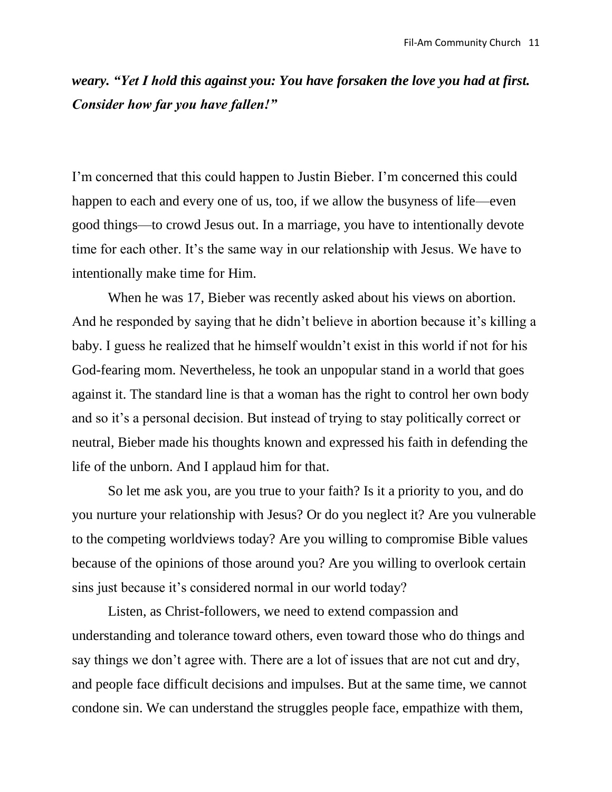*weary. "Yet I hold this against you: You have forsaken the love you had at first. Consider how far you have fallen!"*

I'm concerned that this could happen to Justin Bieber. I'm concerned this could happen to each and every one of us, too, if we allow the busyness of life—even good things—to crowd Jesus out. In a marriage, you have to intentionally devote time for each other. It's the same way in our relationship with Jesus. We have to intentionally make time for Him.

When he was 17, Bieber was recently asked about his views on abortion. And he responded by saying that he didn't believe in abortion because it's killing a baby. I guess he realized that he himself wouldn't exist in this world if not for his God-fearing mom. Nevertheless, he took an unpopular stand in a world that goes against it. The standard line is that a woman has the right to control her own body and so it's a personal decision. But instead of trying to stay politically correct or neutral, Bieber made his thoughts known and expressed his faith in defending the life of the unborn. And I applaud him for that.

So let me ask you, are you true to your faith? Is it a priority to you, and do you nurture your relationship with Jesus? Or do you neglect it? Are you vulnerable to the competing worldviews today? Are you willing to compromise Bible values because of the opinions of those around you? Are you willing to overlook certain sins just because it's considered normal in our world today?

Listen, as Christ-followers, we need to extend compassion and understanding and tolerance toward others, even toward those who do things and say things we don't agree with. There are a lot of issues that are not cut and dry, and people face difficult decisions and impulses. But at the same time, we cannot condone sin. We can understand the struggles people face, empathize with them,